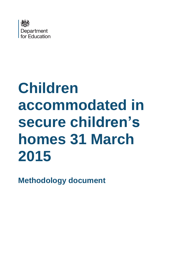

# **Children accommodated in secure children's homes 31 March 2015**

**Methodology document**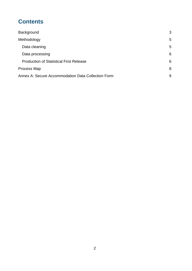## **Contents**

| Background                                         | 3 |
|----------------------------------------------------|---|
| Methodology                                        | 5 |
| Data cleaning                                      | 5 |
| Data processing                                    | 6 |
| <b>Production of Statistical First Release</b>     | 6 |
| Process Map                                        | 8 |
| Annex A: Secure Accommodation Data Collection Form | 9 |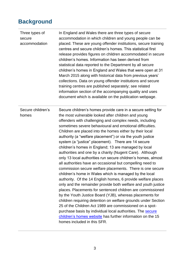# <span id="page-2-0"></span>**Background**

| Three types of<br>secure<br>accommodation | In England and Wales there are three types of secure<br>accommodation in which children and young people can be<br>placed. These are young offender institutions, secure training<br>centres and secure children's homes. This statistical first<br>release provides figures on children accommodated in secure<br>children's homes. Information has been derived from<br>statistical data reported to the Department by all secure<br>children's homes in England and Wales that were open at 31<br>March 2015 along with historical data from previous years'<br>collections. Data on young offender institutions and secure<br>training centres are published separately; see related<br>information section of the accompanying quality and uses<br>document which is available on the publication webpage.                                                                                                                                                                                                                                                                                                                                                                                                                                                                                                                                        |
|-------------------------------------------|--------------------------------------------------------------------------------------------------------------------------------------------------------------------------------------------------------------------------------------------------------------------------------------------------------------------------------------------------------------------------------------------------------------------------------------------------------------------------------------------------------------------------------------------------------------------------------------------------------------------------------------------------------------------------------------------------------------------------------------------------------------------------------------------------------------------------------------------------------------------------------------------------------------------------------------------------------------------------------------------------------------------------------------------------------------------------------------------------------------------------------------------------------------------------------------------------------------------------------------------------------------------------------------------------------------------------------------------------------|
| Secure children's<br>homes                | Secure children's homes provide care in a secure setting for<br>the most vulnerable looked after children and young<br>offenders with challenging and complex needs, including<br>sometimes severe behavioural and emotional difficulties.<br>Children are placed into the homes either by their local<br>authority (a "welfare placement") or via the youth justice<br>system (a "justice" placement). There are 14 secure<br>children's homes in England; 13 are managed by local<br>authorities and one by a charity (Nugent Care). Although<br>only 13 local authorities run secure children's homes, almost<br>all authorities have an occasional but compelling need to<br>commission secure welfare placements. There is one secure<br>children's home in Wales which is managed by the local<br>authority. Of the 14 English homes, 6 provide welfare places<br>only and the remainder provide both welfare and youth justice<br>places. Placements for sentenced children are commissioned<br>by the Youth Justice Board (YJB), whereas placements for<br>children requiring detention on welfare grounds under Section<br>25 of the Children Act 1989 are commissioned on a spot-<br>purchase basis by individual local authorities. The secure<br>children's homes website has further information on the 15<br>homes included in this SFR. |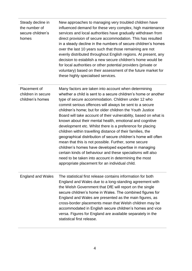| Steady decline in<br>the number of<br>secure children's<br>homes | New approaches to managing very troubled children have<br>influenced demand for these very complex, high maintenance<br>services and local authorities have gradually withdrawn from<br>direct provision of secure accommodation. This has resulted<br>in a steady decline in the numbers of secure children's homes<br>over the last 10 years such that those remaining are not<br>evenly distributed throughout English regions. At present, any<br>decision to establish a new secure children's home would be<br>for local authorities or other potential providers (private or<br>voluntary) based on their assessment of the future market for<br>these highly specialised services.                                                                                                                                                                                                                                   |
|------------------------------------------------------------------|------------------------------------------------------------------------------------------------------------------------------------------------------------------------------------------------------------------------------------------------------------------------------------------------------------------------------------------------------------------------------------------------------------------------------------------------------------------------------------------------------------------------------------------------------------------------------------------------------------------------------------------------------------------------------------------------------------------------------------------------------------------------------------------------------------------------------------------------------------------------------------------------------------------------------|
| Placement of<br>children in secure<br>children's homes           | Many factors are taken into account when determining<br>whether a child is sent to a secure children's home or another<br>type of secure accommodation. Children under 12 who<br>commit serious offences will always be sent to a secure<br>children's home; but for older children the Youth Justice<br>Board will take account of their vulnerability, based on what is<br>known about their mental health, emotional and cognitive<br>development etc. Whilst there is a preference for placing<br>children within travelling distance of their families, the<br>geographical distribution of secure children's home will often<br>mean that this is not possible. Further, some secure<br>children's homes have developed expertise in managing<br>certain kinds of behaviour and these specialisms will also<br>need to be taken into account in determining the most<br>appropriate placement for an individual child. |
| <b>England and Wales</b>                                         | The statistical first release contains information for both<br>England and Wales due to a long-standing agreement with<br>the Welsh Government that DfE will report on the single<br>secure children's home in Wales. The combined figures for<br>England and Wales are presented as the main figures, as<br>cross-border placements mean that Welsh children may be<br>accommodated in English secure children's homes and vice<br>versa. Figures for England are available separately in the<br>statistical first release.                                                                                                                                                                                                                                                                                                                                                                                                 |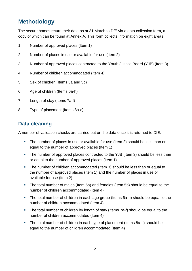# <span id="page-4-0"></span>**Methodology**

The secure homes return their data as at 31 March to DfE via a data collection form, a copy of which can be found at Annex A. This form collects information on eight areas:

- 1. Number of approved places (Item 1)
- 2. Number of places in use or available for use (Item 2)
- 3. Number of approved places contracted to the Youth Justice Board (YJB) (Item 3)
- 4. Number of children accommodated (Item 4)
- 5. Sex of children (Items 5a and 5b)
- 6. Age of children (Items 6a-h)
- 7. Length of stay (Items 7a-f)
- 8. Type of placement (Items 8a-c)

## <span id="page-4-1"></span>**Data cleaning**

A number of validation checks are carried out on the data once it is returned to DfE:

- The number of places in use or available for use (Item 2) should be less than or equal to the number of approved places (Item 1)
- The number of approved places contracted to the YJB (Item 3) should be less than or equal to the number of approved places (Item 1)
- The number of children accommodated (Item 3) should be less than or equal to the number of approved places (Item 1) and the number of places in use or available for use (Item 2)
- The total number of males (Item 5a) and females (Item 5b) should be equal to the number of children accommodated (Item 4)
- The total number of children in each age group (Items 6a-h) should be equal to the number of children accommodated (Item 4)
- The total number of children by length of stay (Items 7a-f) should be equal to the number of children accommodated (Item 4)
- The total number of children in each type of placement (Items 8a-c) should be equal to the number of children accommodated (Item 4)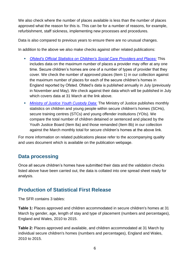We also check where the number of places available is less than the number of places approved what the reason for this is. This can be for a number of reasons, for example, refurbishment, staff sickness, implementing new processes and procedures.

Data is also compared to previous years to ensure there are no unusual changes.

In addition to the above we also make checks against other related publications:

- *[Ofsted's Official Statistics on Children's Social Care Providers and Places:](http://www.ofsted.gov.uk/resources/official-statistics-childrens-social-care-providers-and-places)* This includes data on the maximum number of places a provider may offer at any one time. Secure children's homes are one of a number of types of provider that they cover. We check the number of approved places (Item 1) in our collection against the maximum number of places for each of the secure children's homes in England reported by Ofsted. Ofsted's data is published annually in July (previously in November and May). We check against their data which will be published in July which covers data at 31 March at the link above.
- *[Ministry of Justice Youth Custody Data:](https://www.gov.uk/government/publications/youth-custody-data)* The Ministry of Justice publishes monthly statistics on children and young people within secure children's homes (SCHs), secure training centres (STCs) and young offender institutions (YOIs). We compare the total number of children detained or sentenced and placed by the Youth Justice Board (Item 8a) and those remanded (Item 8b) in our collection against the March monthly total for secure children's homes at the above link.

<span id="page-5-0"></span>For more information on related publications please refer to the accompanying quality and uses document which is available on the publication webpage.

#### **Data processing**

Once all secure children's homes have submitted their data and the validation checks listed above have been carried out, the data is collated into one spread sheet ready for analysis.

## <span id="page-5-1"></span>**Production of Statistical First Release**

The SFR contains 3 tables:

**Table 1:** Places approved and children accommodated in secure children's homes at 31 March by gender, age, length of stay and type of placement (numbers and percentages), England and Wales, 2010 to 2015.

**Table 2:** Places approved and available, and children accommodated at 31 March by individual secure children's homes (numbers and percentages), England and Wales, 2010 to 2015.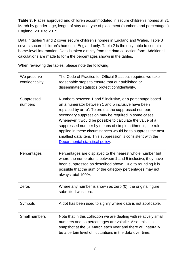**Table 3:** Places approved and children accommodated in secure children's homes at 31 March by gender, age, length of stay and type of placement (numbers and percentages), England, 2010 to 2015.

Data in tables 1 and 2 cover secure children's homes in England and Wales. Table 3 covers secure children's homes in England only. Table 2 is the only table to contain home-level information. Data is taken directly from the data collection form. Additional calculations are made to form the percentages shown in the tables.

When reviewing the tables, please note the following:

| We preserve<br>confidentiality | The Code of Practice for Official Statistics requires we take<br>reasonable steps to ensure that our published or<br>disseminated statistics protect confidentiality.                                                                                                                                                                                                                                                                                                                                                        |
|--------------------------------|------------------------------------------------------------------------------------------------------------------------------------------------------------------------------------------------------------------------------------------------------------------------------------------------------------------------------------------------------------------------------------------------------------------------------------------------------------------------------------------------------------------------------|
| Suppressed<br>numbers          | Numbers between 1 and 5 inclusive, or a percentage based<br>on a numerator between 1 and 5 inclusive have been<br>replaced by an 'x'. To protect the suppressed number,<br>secondary suppression may be required in some cases.<br>Whenever it would be possible to calculate the value of a<br>suppressed number by means of simple arithmetic, the rule<br>applied in these circumstances would be to suppress the next<br>smallest data item. This suppression is consistent with the<br>Departmental statistical policy. |
| Percentages                    | Percentages are displayed to the nearest whole number but<br>where the numerator is between 1 and 5 inclusive, they have<br>been suppressed as described above. Due to rounding it is<br>possible that the sum of the category percentages may not<br>always total 100%.                                                                                                                                                                                                                                                     |
| Zeros                          | Where any number is shown as zero (0), the original figure<br>submitted was zero.                                                                                                                                                                                                                                                                                                                                                                                                                                            |
| Symbols                        | A dot has been used to signify where data is not applicable.                                                                                                                                                                                                                                                                                                                                                                                                                                                                 |
| Small numbers                  | Note that in this collection we are dealing with relatively small<br>numbers and so percentages are volatile. Also, this is a<br>snapshot at the 31 March each year and there will naturally<br>be a certain level of fluctuations in the data over time.                                                                                                                                                                                                                                                                    |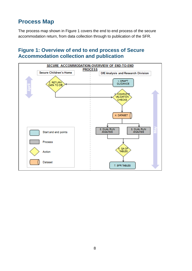# <span id="page-7-0"></span>**Process Map**

The process map shown in Figure 1 covers the end to end process of the secure accommodation return, from data collection through to publication of the SFR.

### **Figure 1: Overview of end to end process of Secure Accommodation collection and publication**

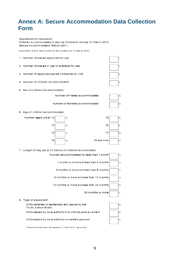## <span id="page-8-0"></span>**Annex A: Secure Accommodation Data Collection Form**

Department for Education Children Accommodated in Secure Children's Homes 31 March 2015 Secure Accommodation Return (SA1)

Each item of this return refers to the position at 31 March 2015



\*Please record the basis that applies at 31 M arch 2015, not on entry.